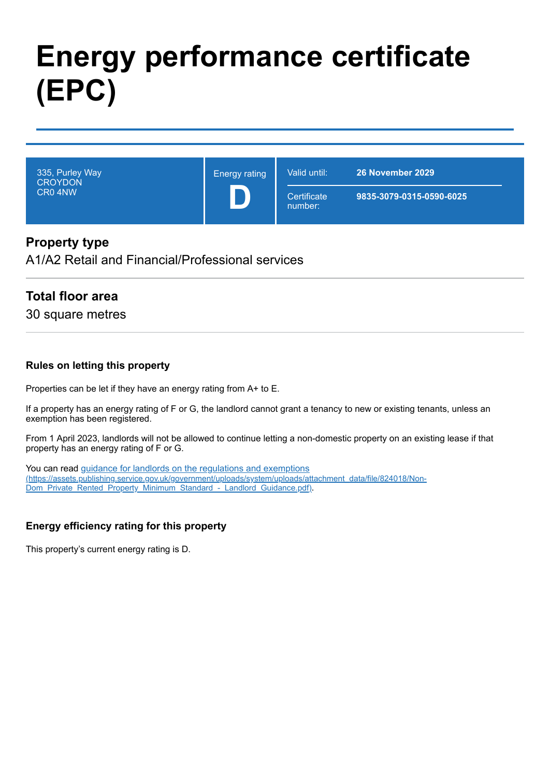# **Energy performance certificate (EPC)**

335, Purley Way **CROYDON** CR0 4NW Energy rating **D** Valid until: **26 November 2029 Certificate** number: **9835-3079-0315-0590-6025**

### **Property type**

A1/A2 Retail and Financial/Professional services

### **Total floor area**

30 square metres

#### **Rules on letting this property**

Properties can be let if they have an energy rating from A+ to E.

If a property has an energy rating of F or G, the landlord cannot grant a tenancy to new or existing tenants, unless an exemption has been registered.

From 1 April 2023, landlords will not be allowed to continue letting a non-domestic property on an existing lease if that property has an energy rating of F or G.

You can read guidance for landlords on the regulations and exemptions [\(https://assets.publishing.service.gov.uk/government/uploads/system/uploads/attachment\\_data/file/824018/Non-](https://assets.publishing.service.gov.uk/government/uploads/system/uploads/attachment_data/file/824018/Non-Dom_Private_Rented_Property_Minimum_Standard_-_Landlord_Guidance.pdf)Dom\_Private\_Rented\_Property\_Minimum\_Standard -\_Landlord\_Guidance.pdf).

#### **Energy efficiency rating for this property**

This property's current energy rating is D.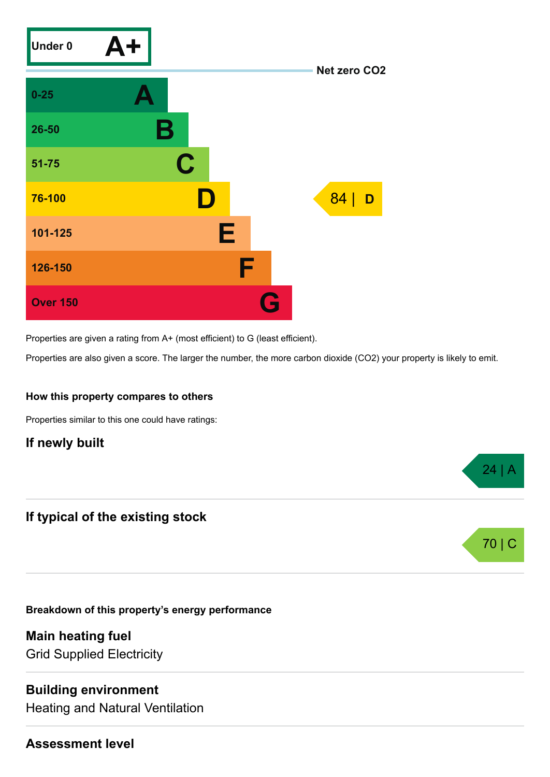

Properties are given a rating from A+ (most efficient) to G (least efficient).

Properties are also given a score. The larger the number, the more carbon dioxide (CO2) your property is likely to emit.

24 | A

70 | C

#### **How this property compares to others**

Properties similar to this one could have ratings:

**If newly built**

### **If typical of the existing stock**

**Breakdown of this property's energy performance**

**Main heating fuel** Grid Supplied Electricity

### **Building environment**

Heating and Natural Ventilation

### **Assessment level**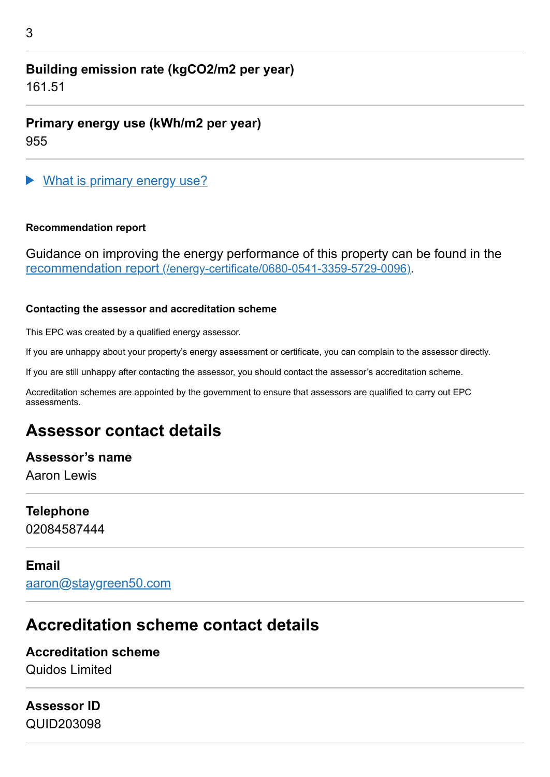## **Building emission rate (kgCO2/m2 per year)**

161.51

**Primary energy use (kWh/m2 per year)** 955

What is primary energy use?

#### **Recommendation report**

Guidance on improving the energy performance of this property can be found in the recommendation report [\(/energy-certificate/0680-0541-3359-5729-0096\)](https://find-energy-certificate.digital.communities.gov.uk/energy-certificate/0680-0541-3359-5729-0096).

#### **Contacting the assessor and accreditation scheme**

This EPC was created by a qualified energy assessor.

If you are unhappy about your property's energy assessment or certificate, you can complain to the assessor directly.

If you are still unhappy after contacting the assessor, you should contact the assessor's accreditation scheme.

Accreditation schemes are appointed by the government to ensure that assessors are qualified to carry out EPC assessments.

# **Assessor contact details**

### **Assessor's name**

Aaron Lewis

# **Telephone**

02084587444

### **Email**

[aaron@staygreen50.com](mailto:aaron@staygreen50.com)

# **Accreditation scheme contact details**

### **Accreditation scheme**

Quidos Limited

# **Assessor ID**

QUID203098